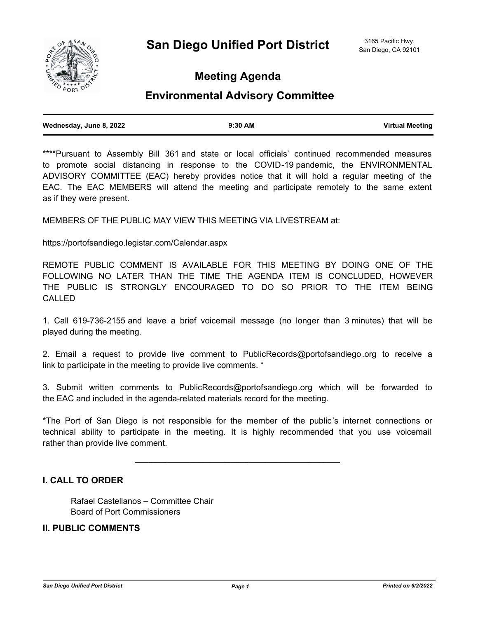

# **Meeting Agenda**

## **Environmental Advisory Committee**

| Wednesday, June 8, 2022 | 9:30 AM | <b>Virtual Meeting</b> |
|-------------------------|---------|------------------------|
|                         |         |                        |

\*\*\*\*Pursuant to Assembly Bill 361 and state or local officials' continued recommended measures to promote social distancing in response to the COVID-19 pandemic, the ENVIRONMENTAL ADVISORY COMMITTEE (EAC) hereby provides notice that it will hold a regular meeting of the EAC. The EAC MEMBERS will attend the meeting and participate remotely to the same extent as if they were present.

MEMBERS OF THE PUBLIC MAY VIEW THIS MEETING VIA LIVESTREAM at:

https://portofsandiego.legistar.com/Calendar.aspx

REMOTE PUBLIC COMMENT IS AVAILABLE FOR THIS MEETING BY DOING ONE OF THE FOLLOWING NO LATER THAN THE TIME THE AGENDA ITEM IS CONCLUDED, HOWEVER THE PUBLIC IS STRONGLY ENCOURAGED TO DO SO PRIOR TO THE ITEM BEING CALLED

1. Call 619-736-2155 and leave a brief voicemail message (no longer than 3 minutes) that will be played during the meeting.

2. Email a request to provide live comment to PublicRecords@portofsandiego.org to receive a link to participate in the meeting to provide live comments. \*

3. Submit written comments to PublicRecords@portofsandiego.org which will be forwarded to the EAC and included in the agenda-related materials record for the meeting.

\*The Port of San Diego is not responsible for the member of the public's internet connections or technical ability to participate in the meeting. It is highly recommended that you use voicemail rather than provide live comment.

**\_\_\_\_\_\_\_\_\_\_\_\_\_\_\_\_\_\_\_\_\_\_\_\_\_\_\_\_\_\_\_\_\_\_\_\_\_\_\_\_\_\_\_\_\_**

#### **I. CALL TO ORDER**

Rafael Castellanos – Committee Chair Board of Port Commissioners

#### **II. PUBLIC COMMENTS**